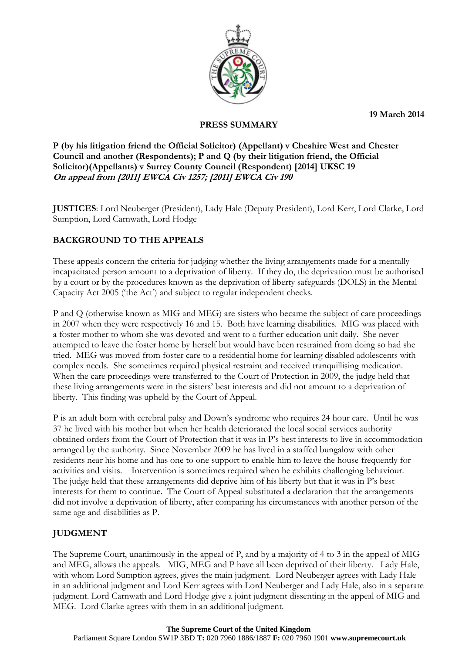**19 March 2014**



## **PRESS SUMMARY**

**P (by his litigation friend the Official Solicitor) (Appellant) v Cheshire West and Chester Council and another (Respondents); P and Q (by their litigation friend, the Official Solicitor)(Appellants) v Surrey County Council (Respondent) [2014] UKSC 19 On appeal from [2011] EWCA Civ 1257; [2011] EWCA Civ 190**

**JUSTICES**: Lord Neuberger (President), Lady Hale (Deputy President), Lord Kerr, Lord Clarke, Lord Sumption, Lord Carnwath, Lord Hodge

## **BACKGROUND TO THE APPEALS**

These appeals concern the criteria for judging whether the living arrangements made for a mentally incapacitated person amount to a deprivation of liberty. If they do, the deprivation must be authorised by a court or by the procedures known as the deprivation of liberty safeguards (DOLS) in the Mental Capacity Act 2005 ('the Act') and subject to regular independent checks.

P and Q (otherwise known as MIG and MEG) are sisters who became the subject of care proceedings in 2007 when they were respectively 16 and 15. Both have learning disabilities. MIG was placed with a foster mother to whom she was devoted and went to a further education unit daily. She never attempted to leave the foster home by herself but would have been restrained from doing so had she tried. MEG was moved from foster care to a residential home for learning disabled adolescents with complex needs. She sometimes required physical restraint and received tranquillising medication. When the care proceedings were transferred to the Court of Protection in 2009, the judge held that these living arrangements were in the sisters' best interests and did not amount to a deprivation of liberty. This finding was upheld by the Court of Appeal.

P is an adult born with cerebral palsy and Down's syndrome who requires 24 hour care. Until he was 37 he lived with his mother but when her health deteriorated the local social services authority obtained orders from the Court of Protection that it was in P's best interests to live in accommodation arranged by the authority. Since November 2009 he has lived in a staffed bungalow with other residents near his home and has one to one support to enable him to leave the house frequently for activities and visits. Intervention is sometimes required when he exhibits challenging behaviour. The judge held that these arrangements did deprive him of his liberty but that it was in P's best interests for them to continue. The Court of Appeal substituted a declaration that the arrangements did not involve a deprivation of liberty, after comparing his circumstances with another person of the same age and disabilities as P.

# **JUDGMENT**

The Supreme Court, unanimously in the appeal of P, and by a majority of 4 to 3 in the appeal of MIG and MEG, allows the appeals. MIG, MEG and P have all been deprived of their liberty. Lady Hale, with whom Lord Sumption agrees, gives the main judgment. Lord Neuberger agrees with Lady Hale in an additional judgment and Lord Kerr agrees with Lord Neuberger and Lady Hale, also in a separate judgment. Lord Carnwath and Lord Hodge give a joint judgment dissenting in the appeal of MIG and MEG. Lord Clarke agrees with them in an additional judgment.

#### **The Supreme Court of the United Kingdom**

Parliament Square London SW1P 3BD **T:** 020 7960 1886/1887 **F:** 020 7960 1901 **www.supremecourt.uk**